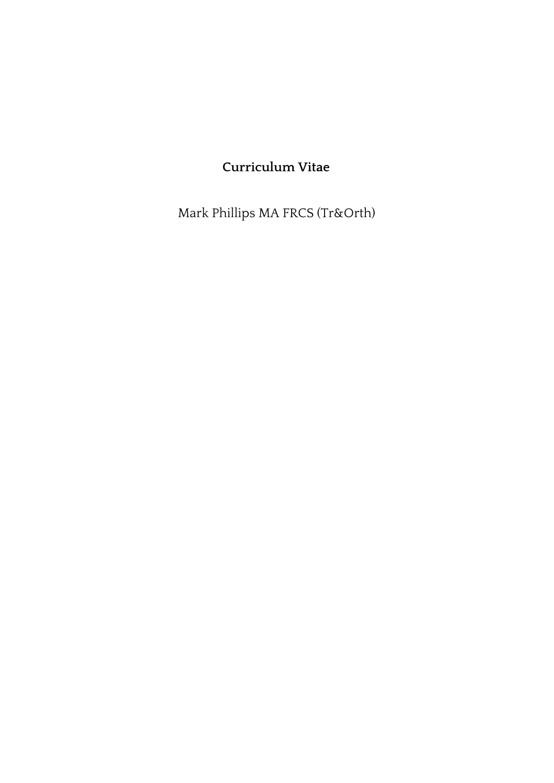# **Curriculum Vitae**

Mark Phillips MA FRCS (Tr&Orth)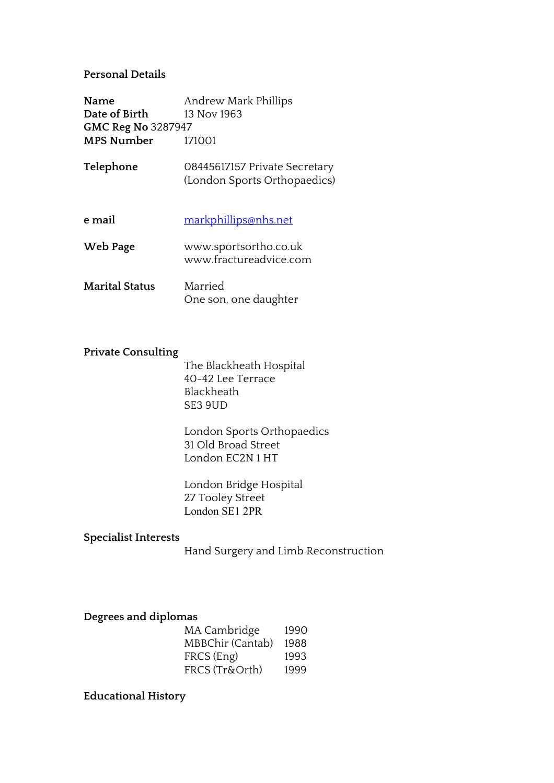## **Personal Details**

**Name** Andrew Mark Phillips **Date of Birth** 13 Nov 1963 **GMC Reg No** 3287947 **MPS Number** 171001

- **Telephone** 08445617157 Private Secretary (London Sports Orthopaedics)
- **e mail** [markphillips@nhs.net](mailto:markphillips@nhs.net) **Web Page** www.sportsortho.co.uk www.fractureadvice.com **Marital Status** Married

### **Private Consulting**

The Blackheath Hospital 40-42 Lee Terrace Blackheath SE3 9UD

One son, one daughter

London Sports Orthopaedics 31 Old Broad Street London EC2N 1 HT

London Bridge Hospital 27 Tooley Street London SE1 2PR

#### **Specialist Interests**

Hand Surgery and Limb Reconstruction

### **Degrees and diplomas**

| MA Cambridge     | 1990 |
|------------------|------|
| MBBChir (Cantab) | 1988 |
| FRCS (Eng)       | 1993 |
| FRCS (Tr&Orth)   | 1999 |

#### **Educational History**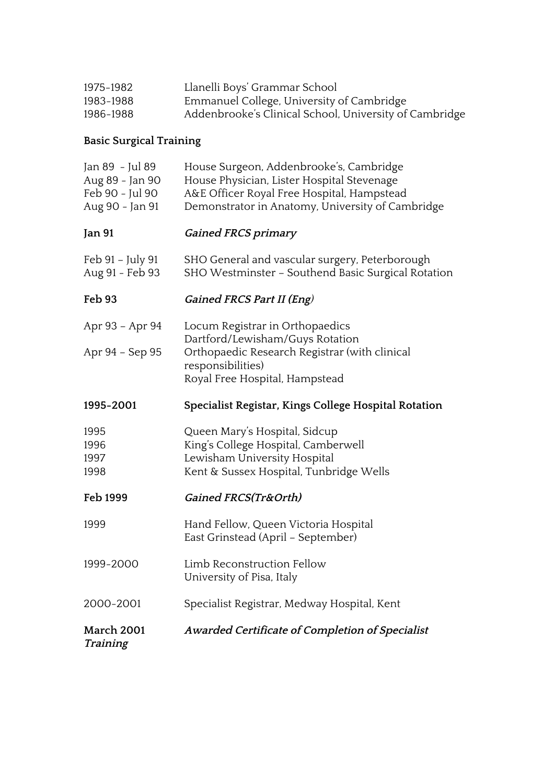| 1975-1982 | Llanelli Boys' Grammar School                          |
|-----------|--------------------------------------------------------|
| 1983-1988 | Emmanuel College, University of Cambridge              |
| 1986-1988 | Addenbrooke's Clinical School, University of Cambridge |

# **Basic Surgical Training**

| <b>March 2001</b><br>Training                                            | Awarded Certificate of Completion of Specialist                                                                                                                                         |
|--------------------------------------------------------------------------|-----------------------------------------------------------------------------------------------------------------------------------------------------------------------------------------|
| 2000-2001                                                                | Specialist Registrar, Medway Hospital, Kent                                                                                                                                             |
| 1999-2000                                                                | Limb Reconstruction Fellow<br>University of Pisa, Italy                                                                                                                                 |
| 1999                                                                     | Hand Fellow, Queen Victoria Hospital<br>East Grinstead (April - September)                                                                                                              |
| Feb 1999                                                                 | Gained FRCS(Tr&Orth)                                                                                                                                                                    |
| 1995<br>1996<br>1997<br>1998                                             | Queen Mary's Hospital, Sidcup<br>King's College Hospital, Camberwell<br>Lewisham University Hospital<br>Kent & Sussex Hospital, Tunbridge Wells                                         |
| 1995-2001                                                                | Specialist Registar, Kings College Hospital Rotation                                                                                                                                    |
| Apr 93 - Apr 94<br>Apr 94 - Sep 95                                       | Locum Registrar in Orthopaedics<br>Dartford/Lewisham/Guys Rotation<br>Orthopaedic Research Registrar (with clinical<br>responsibilities)<br>Royal Free Hospital, Hampstead              |
| Feb 93                                                                   | Gained FRCS Part II (Eng)                                                                                                                                                               |
| Feb 91 – July 91<br>Aug 91 - Feb 93                                      | SHO General and vascular surgery, Peterborough<br>SHO Westminster - Southend Basic Surgical Rotation                                                                                    |
| Jan 91                                                                   | <b>Gained FRCS primary</b>                                                                                                                                                              |
| Jan 89 - Jul 89<br>Aug 89 - Jan 90<br>Feb 90 - Jul 90<br>Aug 90 - Jan 91 | House Surgeon, Addenbrooke's, Cambridge<br>House Physician, Lister Hospital Stevenage<br>A&E Officer Royal Free Hospital, Hampstead<br>Demonstrator in Anatomy, University of Cambridge |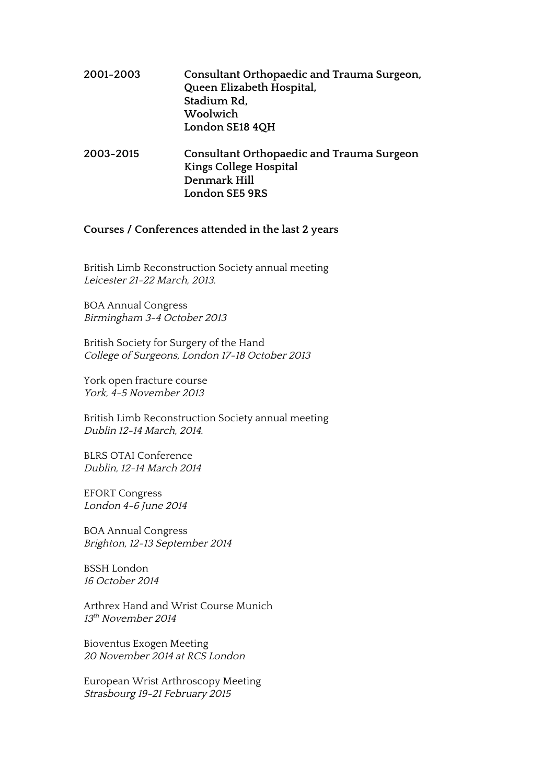# **2001-2003 Consultant Orthopaedic and Trauma Surgeon, Queen Elizabeth Hospital, Stadium Rd, Woolwich London SE18 4QH**

**2003-2015 Consultant Orthopaedic and Trauma Surgeon Kings College Hospital Denmark Hill London SE5 9RS**

## **Courses / Conferences attended in the last 2 years**

British Limb Reconstruction Society annual meeting Leicester 21-22 March, 2013.

BOA Annual Congress Birmingham 3-4 October <sup>2013</sup>

British Society for Surgery of the Hand College of Surgeons, London 17-18 October <sup>2013</sup>

York open fracture course York, 4-5 November 2013

British Limb Reconstruction Society annual meeting Dublin 12-14 March, 2014.

BLRS OTAI Conference Dublin, 12-14 March 2014

EFORT Congress London 4-6 June 2014

BOA Annual Congress Brighton, 12-13 September <sup>2014</sup>

BSSH London 16 October 2014

Arthrex Hand and Wrist Course Munich 13<sup>th</sup> November 2014

Bioventus Exogen Meeting 20 November 2014 at RCS London

European Wrist Arthroscopy Meeting Strasbourg 19-21 February <sup>2015</sup>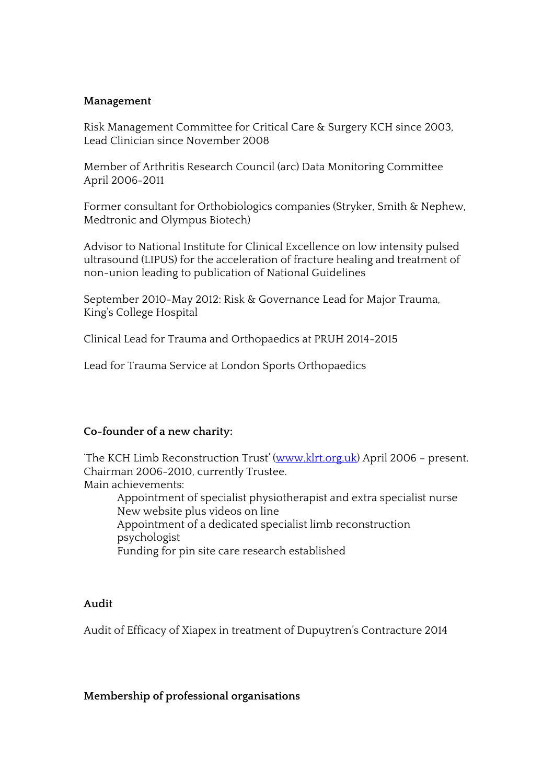## **Management**

Risk Management Committee for Critical Care & Surgery KCH since 2003, Lead Clinician since November 2008

Member of Arthritis Research Council (arc) Data Monitoring Committee April 2006-2011

Former consultant for Orthobiologics companies (Stryker, Smith & Nephew, Medtronic and Olympus Biotech)

Advisor to National Institute for Clinical Excellence on low intensity pulsed ultrasound (LIPUS) for the acceleration of fracture healing and treatment of non-union leading to publication of National Guidelines

September 2010-May 2012: Risk & Governance Lead for Major Trauma, King's College Hospital

Clinical Lead for Trauma and Orthopaedics at PRUH 2014-2015

Lead for Trauma Service at London Sports Orthopaedics

## **Co-founder of a new charity:**

'The KCH Limb Reconstruction Trust' ([www.klrt.org.uk\)](http://www.klrt.org.uk/) April 2006 - present. Chairman 2006-2010, currently Trustee. Main achievements:

Appointment of specialist physiotherapist and extra specialist nurse New website plus videos on line Appointment of a dedicated specialist limb reconstruction psychologist Funding for pin site care research established

## **Audit**

Audit of Efficacy of Xiapex in treatment of Dupuytren's Contracture 2014

## **Membership of professional organisations**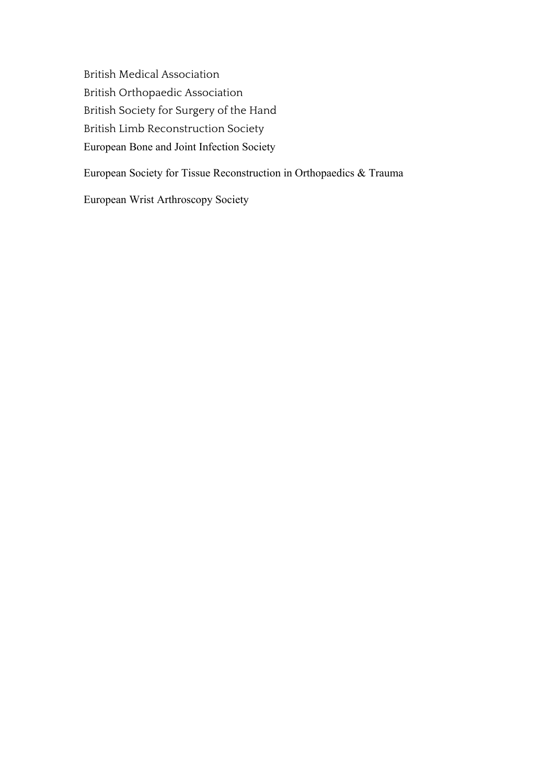British Medical Association British Orthopaedic Association British Society for Surgery of the Hand British Limb Reconstruction Society European Bone and Joint Infection Society

European Society for Tissue Reconstruction in Orthopaedics & Trauma

European Wrist Arthroscopy Society